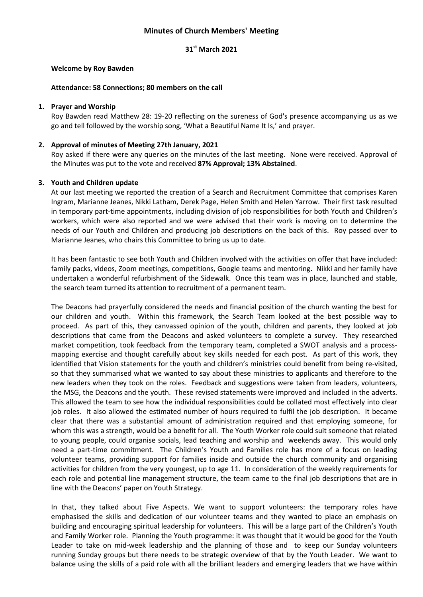## **Minutes of Church Members' Meeting**

## **31st March 2021**

#### **Welcome by Roy Bawden**

#### **Attendance: 58 Connections; 80 members on the call**

#### **1. Prayer and Worship**

Roy Bawden read Matthew 28: 19-20 reflecting on the sureness of God's presence accompanying us as we go and tell followed by the worship song, 'What a Beautiful Name It Is,' and prayer.

#### **2. Approval of minutes of Meeting 27th January, 2021**

Roy asked if there were any queries on the minutes of the last meeting. None were received. Approval of the Minutes was put to the vote and received **87% Approval; 13% Abstained**.

#### **3. Youth and Children update**

At our last meeting we reported the creation of a Search and Recruitment Committee that comprises Karen Ingram, Marianne Jeanes, Nikki Latham, Derek Page, Helen Smith and Helen Yarrow. Their first task resulted in temporary part-time appointments, including division of job responsibilities for both Youth and Children's workers, which were also reported and we were advised that their work is moving on to determine the needs of our Youth and Children and producing job descriptions on the back of this. Roy passed over to Marianne Jeanes, who chairs this Committee to bring us up to date.

It has been fantastic to see both Youth and Children involved with the activities on offer that have included: family packs, videos, Zoom meetings, competitions, Google teams and mentoring. Nikki and her family have undertaken a wonderful refurbishment of the Sidewalk.Once this team was in place, launched and stable, the search team turned its attention to recruitment of a permanent team.

The Deacons had prayerfully considered the needs and financial position of the church wanting the best for our children and youth. Within this framework, the Search Team looked at the best possible way to proceed. As part of this, they canvassed opinion of the youth, children and parents, they looked at job descriptions that came from the Deacons and asked volunteers to complete a survey. They researched market competition, took feedback from the temporary team, completed a SWOT analysis and a processmapping exercise and thought carefully about key skills needed for each post. As part of this work, they identified that Vision statements for the youth and children's ministries could benefit from being re-visited, so that they summarised what we wanted to say about these ministries to applicants and therefore to the new leaders when they took on the roles. Feedback and suggestions were taken from leaders, volunteers, the MSG, the Deacons and the youth. These revised statements were improved and included in the adverts. This allowed the team to see how the individual responsibilities could be collated most effectively into clear job roles. It also allowed the estimated number of hours required to fulfil the job description. It became clear that there was a substantial amount of administration required and that employing someone, for whom this was a strength, would be a benefit for all. The Youth Worker role could suit someone that related to young people, could organise socials, lead teaching and worship and weekends away. This would only need a part-time commitment. The Children's Youth and Families role has more of a focus on leading volunteer teams, providing support for families inside and outside the church community and organising activities for children from the very youngest, up to age 11. In consideration of the weekly requirements for each role and potential line management structure, the team came to the final job descriptions that are in line with the Deacons' paper on Youth Strategy.

In that, they talked about Five Aspects. We want to support volunteers: the temporary roles have emphasised the skills and dedication of our volunteer teams and they wanted to place an emphasis on building and encouraging spiritual leadership for volunteers. This will be a large part of the Children's Youth and Family Worker role. Planning the Youth programme: it was thought that it would be good for the Youth Leader to take on mid-week leadership and the planning of those and to keep our Sunday volunteers running Sunday groups but there needs to be strategic overview of that by the Youth Leader. We want to balance using the skills of a paid role with all the brilliant leaders and emerging leaders that we have within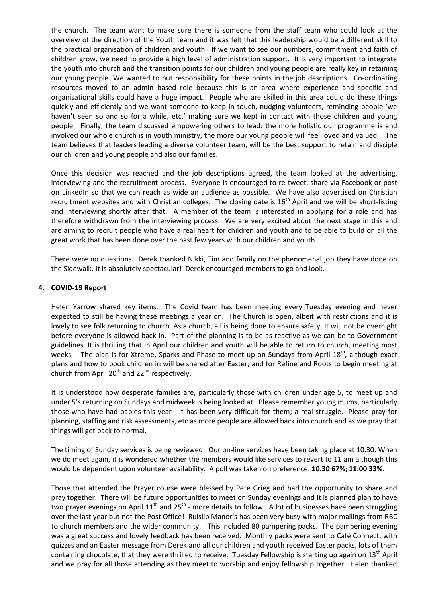the church. The team want to make sure there is someone from the staff team who could look at the overview of the direction of the Youth team and it was felt that this leadership would be a different skill to the practical organisation of children and youth. If we want to see our numbers, commitment and faith of children grow, we need to provide a high level of administration support. It is very important to integrate the youth into church and the transition points for our children and young people are really key in retaining our young people. We wanted to put responsibility for these points in the job descriptions. Co-ordinating resources moved to an admin based role because this is an area where experience and specific and organisational skills could have a huge impact. People who are skilled in this area could do these things quickly and efficiently and we want someone to keep in touch, nudging volunteers, reminding people 'we haven't seen so and so for a while, etc.' making sure we kept in contact with those children and young people. Finally, the team discussed empowering others to lead: the more holistic our programme is and involved our whole church is in youth ministry, the more our young people will feel loved and valued. The team believes that leaders leading a diverse volunteer team, will be the best support to retain and disciple our children and young people and also our families.

Once this decision was reached and the job descriptions agreed, the team looked at the advertising, interviewing and the recruitment process. Everyone is encouraged to re-tweet, share via Facebook or post on LinkedIn so that we can reach as wide an audience as possible. We have also advertised on Christian recruitment websites and with Christian colleges. The closing date is  $16<sup>th</sup>$  April and we will be short-listing and interviewing shortly after that. A member of the team is interested in applying for a role and has therefore withdrawn from the interviewing process. We are very excited about the next stage in this and are aiming to recruit people who have a real heart for children and youth and to be able to build on all the great work that has been done over the past few years with our children and youth.

There were no questions. Derek thanked Nikki, Tim and family on the phenomenal job they have done on the Sidewalk. It is absolutely spectacular! Derek encouraged members to go and look.

## **4. COVID-19 Report**

Helen Yarrow shared key items. The Covid team has been meeting every Tuesday evening and never expected to still be having these meetings a year on. The Church is open, albeit with restrictions and it is lovely to see folk returning to church. As a church, all is being done to ensure safety. It will not be overnight before everyone is allowed back in. Part of the planning is to be as reactive as we can be to Government guidelines. It is thrilling that in April our children and youth will be able to return to church, meeting most weeks. The plan is for Xtreme, Sparks and Phase to meet up on Sundays from April 18<sup>th</sup>, although exact plans and how to book children in will be shared after Easter; and for Refine and Roots to begin meeting at church from April  $20^{th}$  and  $22^{nd}$  respectively.

It is understood how desperate families are, particularly those with children under age 5, to meet up and under 5's returning on Sundays and midweek is being looked at. Please remember young mums, particularly those who have had babies this year - it has been very difficult for them; a real struggle. Please pray for planning, staffing and risk assessments, etc as more people are allowed back into church and as we pray that things will get back to normal.

The timing of Sunday services is being reviewed. Our on-line services have been taking place at 10.30. When we do meet again, it is wondered whether the members would like services to revert to 11 am although this would be dependent upon volunteer availability. A poll was taken on preference: **10.30 67%; 11:00 33%**.

Those that attended the Prayer course were blessed by Pete Grieg and had the opportunity to share and pray together. There will be future opportunities to meet on Sunday evenings and it is planned plan to have two prayer evenings on April  $11<sup>th</sup>$  and 25<sup>th</sup> - more details to follow. A lot of businesses have been struggling over the last year but not the Post Office! Ruislip Manor's has been very busy with major mailings from RBC to church members and the wider community. This included 80 pampering packs. The pampering evening was a great success and lovely feedback has been received. Monthly packs were sent to Café Connect, with quizzes and an Easter message from Derek and all our children and youth received Easter packs, lots of them containing chocolate, that they were thrilled to receive. Tuesday Fellowship is starting up again on 13<sup>th</sup> April and we pray for all those attending as they meet to worship and enjoy fellowship together. Helen thanked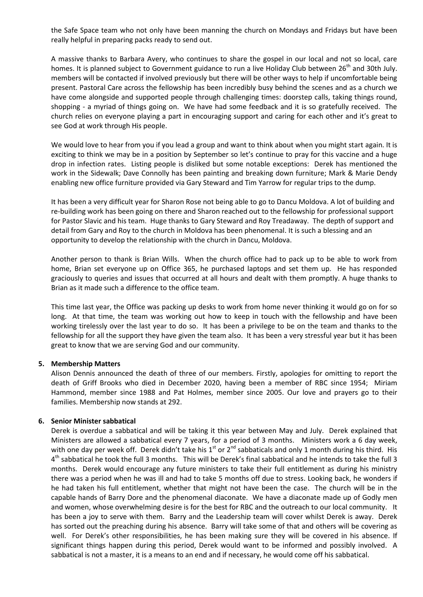the Safe Space team who not only have been manning the church on Mondays and Fridays but have been really helpful in preparing packs ready to send out.

A massive thanks to Barbara Avery, who continues to share the gospel in our local and not so local, care homes. It is planned subject to Government guidance to run a live Holiday Club between 26<sup>th</sup> and 30th July. members will be contacted if involved previously but there will be other ways to help if uncomfortable being present. Pastoral Care across the fellowship has been incredibly busy behind the scenes and as a church we have come alongside and supported people through challenging times: doorstep calls, taking things round, shopping - a myriad of things going on. We have had some feedback and it is so gratefully received. The church relies on everyone playing a part in encouraging support and caring for each other and it's great to see God at work through His people.

We would love to hear from you if you lead a group and want to think about when you might start again. It is exciting to think we may be in a position by September so let's continue to pray for this vaccine and a huge drop in infection rates. Listing people is disliked but some notable exceptions: Derek has mentioned the work in the Sidewalk; Dave Connolly has been painting and breaking down furniture; Mark & Marie Dendy enabling new office furniture provided via Gary Steward and Tim Yarrow for regular trips to the dump.

It has been a very difficult year for Sharon Rose not being able to go to Dancu Moldova. A lot of building and re-building work has been going on there and Sharon reached out to the fellowship for professional support for Pastor Slavic and his team. Huge thanks to Gary Steward and Roy Treadaway. The depth of support and detail from Gary and Roy to the church in Moldova has been phenomenal. It is such a blessing and an opportunity to develop the relationship with the church in Dancu, Moldova.

Another person to thank is Brian Wills. When the church office had to pack up to be able to work from home, Brian set everyone up on Office 365, he purchased laptops and set them up. He has responded graciously to queries and issues that occurred at all hours and dealt with them promptly. A huge thanks to Brian as it made such a difference to the office team.

This time last year, the Office was packing up desks to work from home never thinking it would go on for so long. At that time, the team was working out how to keep in touch with the fellowship and have been working tirelessly over the last year to do so. It has been a privilege to be on the team and thanks to the fellowship for all the support they have given the team also. It has been a very stressful year but it has been great to know that we are serving God and our community.

## **5. Membership Matters**

Alison Dennis announced the death of three of our members. Firstly, apologies for omitting to report the death of Griff Brooks who died in December 2020, having been a member of RBC since 1954; Miriam Hammond, member since 1988 and Pat Holmes, member since 2005. Our love and prayers go to their families. Membership now stands at 292.

## **6. Senior Minister sabbatical**

Derek is overdue a sabbatical and will be taking it this year between May and July. Derek explained that Ministers are allowed a sabbatical every 7 years, for a period of 3 months. Ministers work a 6 day week, with one day per week off. Derek didn't take his  $1^{st}$  or  $2^{nd}$  sabbaticals and only 1 month during his third. His 4<sup>th</sup> sabbatical he took the full 3 months. This will be Derek's final sabbatical and he intends to take the full 3 months. Derek would encourage any future ministers to take their full entitlement as during his ministry there was a period when he was ill and had to take 5 months off due to stress. Looking back, he wonders if he had taken his full entitlement, whether that might not have been the case. The church will be in the capable hands of Barry Dore and the phenomenal diaconate. We have a diaconate made up of Godly men and women, whose overwhelming desire is for the best for RBC and the outreach to our local community. It has been a joy to serve with them. Barry and the Leadership team will cover whilst Derek is away. Derek has sorted out the preaching during his absence. Barry will take some of that and others will be covering as well. For Derek's other responsibilities, he has been making sure they will be covered in his absence. If significant things happen during this period, Derek would want to be informed and possibly involved. A sabbatical is not a master, it is a means to an end and if necessary, he would come off his sabbatical.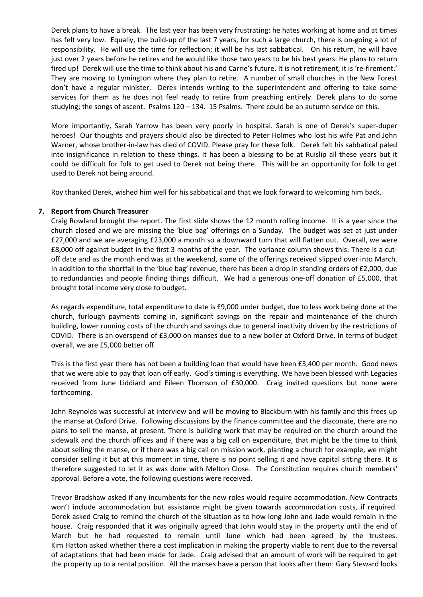Derek plans to have a break. The last year has been very frustrating: he hates working at home and at times has felt very low. Equally, the build-up of the last 7 years, for such a large church, there is on-going a lot of responsibility. He will use the time for reflection; it will be his last sabbatical. On his return, he will have just over 2 years before he retires and he would like those two years to be his best years. He plans to return fired up! Derek will use the time to think about his and Carrie's future. It is not retirement, it is 're-firement.' They are moving to Lymington where they plan to retire. A number of small churches in the New Forest don't have a regular minister. Derek intends writing to the superintendent and offering to take some services for them as he does not feel ready to retire from preaching entirely. Derek plans to do some studying; the songs of ascent. Psalms 120 – 134. 15 Psalms. There could be an autumn service on this.

More importantly, Sarah Yarrow has been very poorly in hospital. Sarah is one of Derek's super-duper heroes! Our thoughts and prayers should also be directed to Peter Holmes who lost his wife Pat and John Warner, whose brother-in-law has died of COVID. Please pray for these folk. Derek felt his sabbatical paled into insignificance in relation to these things. It has been a blessing to be at Ruislip all these years but it could be difficult for folk to get used to Derek not being there. This will be an opportunity for folk to get used to Derek not being around.

Roy thanked Derek, wished him well for his sabbatical and that we look forward to welcoming him back.

## **7. Report from Church Treasurer**

Craig Rowland brought the report. The first slide shows the 12 month rolling income. It is a year since the church closed and we are missing the 'blue bag' offerings on a Sunday. The budget was set at just under £27,000 and we are averaging £23,000 a month so a downward turn that will flatten out. Overall, we were £8,000 off against budget in the first 3 months of the year. The variance column shows this. There is a cutoff date and as the month end was at the weekend, some of the offerings received slipped over into March. In addition to the shortfall in the 'blue bag' revenue, there has been a drop in standing orders of £2,000, due to redundancies and people finding things difficult. We had a generous one-off donation of £5,000, that brought total income very close to budget.

As regards expenditure, total expenditure to date is £9,000 under budget, due to less work being done at the church, furlough payments coming in, significant savings on the repair and maintenance of the church building, lower running costs of the church and savings due to general inactivity driven by the restrictions of COVID. There is an overspend of £3,000 on manses due to a new boiler at Oxford Drive. In terms of budget overall, we are £5,000 better off.

This is the first year there has not been a building loan that would have been £3,400 per month. Good news that we were able to pay that loan off early. God's timing is everything. We have been blessed with Legacies received from June Liddiard and Eileen Thomson of £30,000. Craig invited questions but none were forthcoming.

John Reynolds was successful at interview and will be moving to Blackburn with his family and this frees up the manse at Oxford Drive. Following discussions by the finance committee and the diaconate, there are no plans to sell the manse, at present. There is building work that may be required on the church around the sidewalk and the church offices and if there was a big call on expenditure, that might be the time to think about selling the manse, or if there was a big call on mission work, planting a church for example, we might consider selling it but at this moment in time, there is no point selling it and have capital sitting there. It is therefore suggested to let it as was done with Melton Close. The Constitution requires church members' approval. Before a vote, the following questions were received.

Trevor Bradshaw asked if any incumbents for the new roles would require accommodation. New Contracts won't include accommodation but assistance might be given towards accommodation costs, if required. Derek asked Craig to remind the church of the situation as to how long John and Jade would remain in the house. Craig responded that it was originally agreed that John would stay in the property until the end of March but he had requested to remain until June which had been agreed by the trustees. Kim Hatton asked whether there a cost implication in making the property viable to rent due to the reversal of adaptations that had been made for Jade. Craig advised that an amount of work will be required to get the property up to a rental position. All the manses have a person that looks after them: Gary Steward looks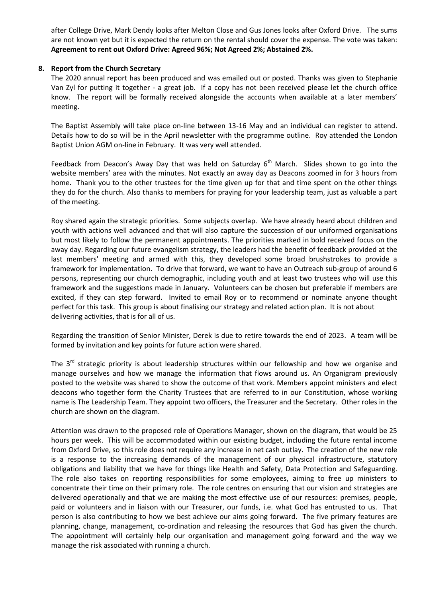after College Drive, Mark Dendy looks after Melton Close and Gus Jones looks after Oxford Drive. The sums are not known yet but it is expected the return on the rental should cover the expense. The vote was taken: **Agreement to rent out Oxford Drive: Agreed 96%; Not Agreed 2%; Abstained 2%.**

## **8. Report from the Church Secretary**

The 2020 annual report has been produced and was emailed out or posted. Thanks was given to Stephanie Van Zyl for putting it together - a great job. If a copy has not been received please let the church office know. The report will be formally received alongside the accounts when available at a later members' meeting.

The Baptist Assembly will take place on-line between 13-16 May and an individual can register to attend. Details how to do so will be in the April newsletter with the programme outline. Roy attended the London Baptist Union AGM on-line in February. It was very well attended.

Feedback from Deacon's Away Day that was held on Saturday  $6<sup>th</sup>$  March. Slides shown to go into the website members' area with the minutes. Not exactly an away day as Deacons zoomed in for 3 hours from home. Thank you to the other trustees for the time given up for that and time spent on the other things they do for the church. Also thanks to members for praying for your leadership team, just as valuable a part of the meeting.

Roy shared again the strategic priorities. Some subjects overlap. We have already heard about children and youth with actions well advanced and that will also capture the succession of our uniformed organisations but most likely to follow the permanent appointments. The priorities marked in bold received focus on the away day. Regarding our future evangelism strategy, the leaders had the benefit of feedback provided at the last members' meeting and armed with this, they developed some broad brushstrokes to provide a framework for implementation. To drive that forward, we want to have an Outreach sub-group of around 6 persons, representing our church demographic, including youth and at least two trustees who will use this framework and the suggestions made in January. Volunteers can be chosen but preferable if members are excited, if they can step forward. Invited to email Roy or to recommend or nominate anyone thought perfect for this task. This group is about finalising our strategy and related action plan. It is not about delivering activities, that is for all of us.

Regarding the transition of Senior Minister, Derek is due to retire towards the end of 2023. A team will be formed by invitation and key points for future action were shared.

The  $3<sup>rd</sup>$  strategic priority is about leadership structures within our fellowship and how we organise and manage ourselves and how we manage the information that flows around us. An Organigram previously posted to the website was shared to show the outcome of that work. Members appoint ministers and elect deacons who together form the Charity Trustees that are referred to in our Constitution, whose working name is The Leadership Team. They appoint two officers, the Treasurer and the Secretary. Other roles in the church are shown on the diagram.

Attention was drawn to the proposed role of Operations Manager, shown on the diagram, that would be 25 hours per week. This will be accommodated within our existing budget, including the future rental income from Oxford Drive, so this role does not require any increase in net cash outlay. The creation of the new role is a response to the increasing demands of the management of our physical infrastructure, statutory obligations and liability that we have for things like Health and Safety, Data Protection and Safeguarding. The role also takes on reporting responsibilities for some employees, aiming to free up ministers to concentrate their time on their primary role. The role centres on ensuring that our vision and strategies are delivered operationally and that we are making the most effective use of our resources: premises, people, paid or volunteers and in liaison with our Treasurer, our funds, i.e. what God has entrusted to us. That person is also contributing to how we best achieve our aims going forward. The five primary features are planning, change, management, co-ordination and releasing the resources that God has given the church. The appointment will certainly help our organisation and management going forward and the way we manage the risk associated with running a church.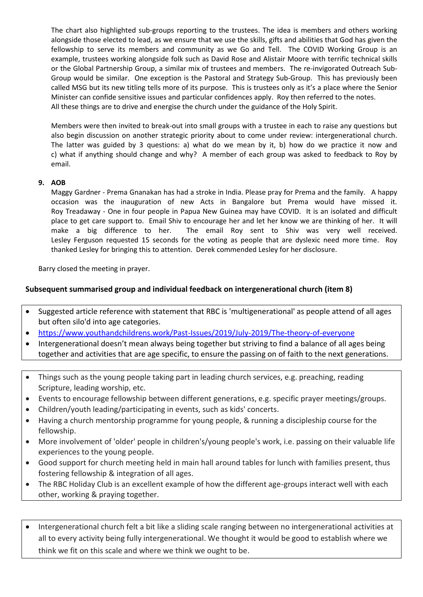The chart also highlighted sub-groups reporting to the trustees. The idea is members and others working alongside those elected to lead, as we ensure that we use the skills, gifts and abilities that God has given the fellowship to serve its members and community as we Go and Tell. The COVID Working Group is an example, trustees working alongside folk such as David Rose and Alistair Moore with terrific technical skills or the Global Partnership Group, a similar mix of trustees and members. The re-invigorated Outreach Sub-Group would be similar. One exception is the Pastoral and Strategy Sub-Group. This has previously been called MSG but its new titling tells more of its purpose. This is trustees only as it's a place where the Senior Minister can confide sensitive issues and particular confidences apply. Roy then referred to the notes. All these things are to drive and energise the church under the guidance of the Holy Spirit.

Members were then invited to break-out into small groups with a trustee in each to raise any questions but also begin discussion on another strategic priority about to come under review: intergenerational church. The latter was guided by 3 questions: a) what do we mean by it, b) how do we practice it now and c) what if anything should change and why? A member of each group was asked to feedback to Roy by email.

# **9. AOB**

Maggy Gardner - Prema Gnanakan has had a stroke in India. Please pray for Prema and the family. A happy occasion was the inauguration of new Acts in Bangalore but Prema would have missed it. Roy Treadaway - One in four people in Papua New Guinea may have COVID. It is an isolated and difficult place to get care support to. Email Shiv to encourage her and let her know we are thinking of her. It will make a big difference to her. The email Roy sent to Shiv was very well received. Lesley Ferguson requested 15 seconds for the voting as people that are dyslexic need more time. Roy thanked Lesley for bringing this to attention. Derek commended Lesley for her disclosure.

Barry closed the meeting in prayer.

# **Subsequent summarised group and individual feedback on intergenerational church (item 8)**

- Suggested article reference with statement that RBC is 'multigenerational' as people attend of all ages but often silo'd into age categories.
- <https://www.youthandchildrens.work/Past-Issues/2019/July-2019/The-theory-of-everyone>
- Intergenerational doesn't mean always being together but striving to find a balance of all ages being together and activities that are age specific, to ensure the passing on of faith to the next generations.
- Things such as the young people taking part in leading church services, e.g. preaching, reading Scripture, leading worship, etc.
- Events to encourage fellowship between different generations, e.g. specific prayer meetings/groups.
- Children/youth leading/participating in events, such as kids' concerts.
- Having a church mentorship programme for young people, & running a discipleship course for the fellowship.
- More involvement of 'older' people in children's/young people's work, i.e. passing on their valuable life experiences to the young people.
- Good support for church meeting held in main hall around tables for lunch with families present, thus fostering fellowship & integration of all ages.
- The RBC Holiday Club is an excellent example of how the different age-groups interact well with each other, working & praying together.
- Intergenerational church felt a bit like a sliding scale ranging between no intergenerational activities at all to every activity being fully intergenerational. We thought it would be good to establish where we think we fit on this scale and where we think we ought to be.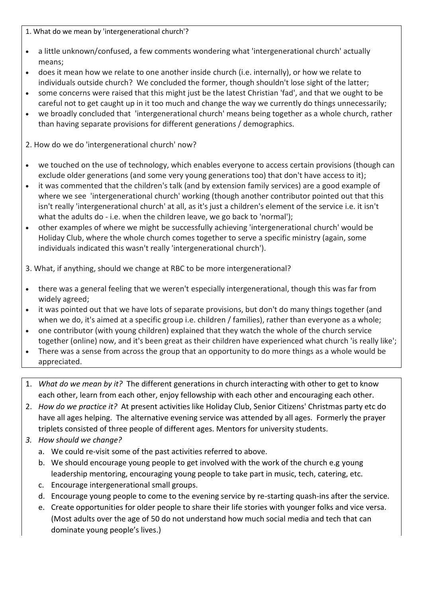1. What do we mean by 'intergenerational church'?

- a little unknown/confused, a few comments wondering what 'intergenerational church' actually means;
- does it mean how we relate to one another inside church (i.e. internally), or how we relate to individuals outside church? We concluded the former, though shouldn't lose sight of the latter;
- some concerns were raised that this might just be the latest Christian 'fad', and that we ought to be careful not to get caught up in it too much and change the way we currently do things unnecessarily;
- we broadly concluded that 'intergenerational church' means being together as a whole church, rather than having separate provisions for different generations / demographics.

2. How do we do 'intergenerational church' now?

- we touched on the use of technology, which enables everyone to access certain provisions (though can exclude older generations (and some very young generations too) that don't have access to it);
- it was commented that the children's talk (and by extension family services) are a good example of where we see 'intergenerational church' working (though another contributor pointed out that this isn't really 'intergenerational church' at all, as it's just a children's element of the service i.e. it isn't what the adults do - i.e. when the children leave, we go back to 'normal');
- other examples of where we might be successfully achieving 'intergenerational church' would be Holiday Club, where the whole church comes together to serve a specific ministry (again, some individuals indicated this wasn't really 'intergenerational church').

3. What, if anything, should we change at RBC to be more intergenerational?

- there was a general feeling that we weren't especially intergenerational, though this was far from widely agreed;
- it was pointed out that we have lots of separate provisions, but don't do many things together (and when we do, it's aimed at a specific group i.e. children / families), rather than everyone as a whole;
- one contributor (with young children) explained that they watch the whole of the church service together (online) now, and it's been great as their children have experienced what church 'is really like';
- There was a sense from across the group that an opportunity to do more things as a whole would be appreciated.
- 1. *What do we mean by it?* The different generations in church interacting with other to get to know each other, learn from each other, enjoy fellowship with each other and encouraging each other.
- 2. *How do we practice it?* At present activities like Holiday Club, Senior Citizens' Christmas party etc do have all ages helping. The alternative evening service was attended by all ages. Formerly the prayer triplets consisted of three people of different ages. Mentors for university students.
- *3. How should we change?* 
	- a. We could re-visit some of the past activities referred to above.
	- b. We should encourage young people to get involved with the work of the church e.g young leadership mentoring, encouraging young people to take part in music, tech, catering, etc.
	- c. Encourage intergenerational small groups.
	- d. Encourage young people to come to the evening service by re-starting quash-ins after the service.
	- e. Create opportunities for older people to share their life stories with younger folks and vice versa. (Most adults over the age of 50 do not understand how much social media and tech that can dominate young people's lives.)